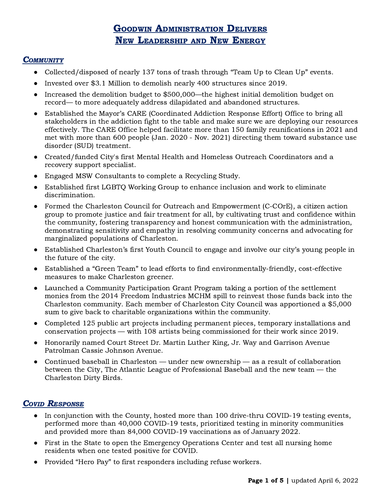# GOODWIN ADMINISTRATION DELIVERS NEW LEADERSHIP AND NEW ENERGY

#### **COMMUNITY**

- Collected/disposed of nearly 137 tons of trash through "Team Up to Clean Up" events.
- Invested over \$3.1 Million to demolish nearly 400 structures since 2019.
- Increased the demolition budget to \$500,000—the highest initial demolition budget on record— to more adequately address dilapidated and abandoned structures.
- Established the Mayor's CARE (Coordinated Addiction Response Effort) Office to bring all stakeholders in the addiction fight to the table and make sure we are deploying our resources effectively. The CARE Office helped facilitate more than 150 family reunifications in 2021 and met with more than 600 people (Jan. 2020 - Nov. 2021) directing them toward substance use disorder (SUD) treatment.
- Created/funded City's first Mental Health and Homeless Outreach Coordinators and a recovery support specialist.
- Engaged MSW Consultants to complete a Recycling Study.
- Established first LGBTQ Working Group to enhance inclusion and work to eliminate discrimination.
- Formed the Charleston Council for Outreach and Empowerment (C-COrE), a citizen action group to promote justice and fair treatment for all, by cultivating trust and confidence within the community, fostering transparency and honest communication with the administration, demonstrating sensitivity and empathy in resolving community concerns and advocating for marginalized populations of Charleston.
- Established Charleston's first Youth Council to engage and involve our city's young people in the future of the city.
- Established a "Green Team" to lead efforts to find environmentally-friendly, cost-effective measures to make Charleston greener.
- Launched a Community Participation Grant Program taking a portion of the settlement monies from the 2014 Freedom Industries MCHM spill to reinvest those funds back into the Charleston community. Each member of Charleston City Council was apportioned a \$5,000 sum to give back to charitable organizations within the community.
- Completed 125 public art projects including permanent pieces, temporary installations and conservation projects — with 108 artists being commissioned for their work since 2019.
- Honorarily named Court Street Dr. Martin Luther King, Jr. Way and Garrison Avenue Patrolman Cassie Johnson Avenue.
- Continued baseball in Charleston under new ownership as a result of collaboration between the City, The Atlantic League of Professional Baseball and the new team — the Charleston Dirty Birds.

## COVID RESPONSE

- In conjunction with the County, hosted more than 100 drive-thru COVID-19 testing events, performed more than 40,000 COVID-19 tests, prioritized testing in minority communities and provided more than 84,000 COVID-19 vaccinations as of January 2022.
- First in the State to open the Emergency Operations Center and test all nursing home residents when one tested positive for COVID.
- Provided "Hero Pay" to first responders including refuse workers.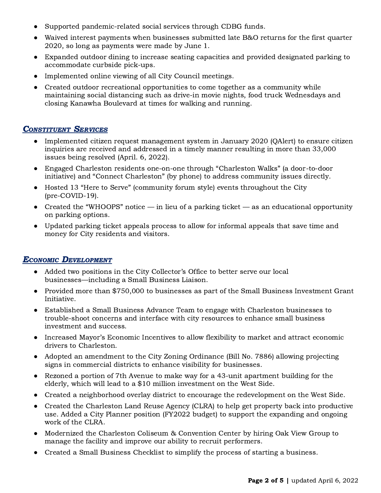- Supported pandemic-related social services through CDBG funds.
- Waived interest payments when businesses submitted late B&O returns for the first quarter 2020, so long as payments were made by June 1.
- Expanded outdoor dining to increase seating capacities and provided designated parking to accommodate curbside pick-ups.
- Implemented online viewing of all City Council meetings.
- Created outdoor recreational opportunities to come together as a community while maintaining social distancing such as drive-in movie nights, food truck Wednesdays and closing Kanawha Boulevard at times for walking and running.

#### **CONSTITUENT SERVICES**

- Implemented citizen request management system in January 2020 (OAlert) to ensure citizen inquiries are received and addressed in a timely manner resulting in more than 33,000 issues being resolved (April. 6, 2022).
- Engaged Charleston residents one-on-one through "Charleston Walks" (a door-to-door initiative) and "Connect Charleston" (by phone) to address community issues directly.
- Hosted 13 "Here to Serve" (community forum style) events throughout the City (pre-COVID-19).
- Created the "WHOOPS" notice in lieu of a parking ticket as an educational opportunity on parking options.
- Updated parking ticket appeals process to allow for informal appeals that save time and money for City residents and visitors.

## ECONOMIC DEVELOPMENT

- Added two positions in the City Collector's Office to better serve our local businesses—including a Small Business Liaison.
- Provided more than \$750,000 to businesses as part of the Small Business Investment Grant Initiative.
- Established a Small Business Advance Team to engage with Charleston businesses to trouble-shoot concerns and interface with city resources to enhance small business investment and success.
- Increased Mayor's Economic Incentives to allow flexibility to market and attract economic drivers to Charleston.
- Adopted an amendment to the City Zoning Ordinance (Bill No. 7886) allowing projecting signs in commercial districts to enhance visibility for businesses.
- Rezoned a portion of 7th Avenue to make way for a 43-unit apartment building for the elderly, which will lead to a \$10 million investment on the West Side.
- Created a neighborhood overlay district to encourage the redevelopment on the West Side.
- Created the Charleston Land Reuse Agency (CLRA) to help get property back into productive use. Added a City Planner position (FY2022 budget) to support the expanding and ongoing work of the CLRA.
- Modernized the Charleston Coliseum & Convention Center by hiring Oak View Group to manage the facility and improve our ability to recruit performers.
- Created a Small Business Checklist to simplify the process of starting a business.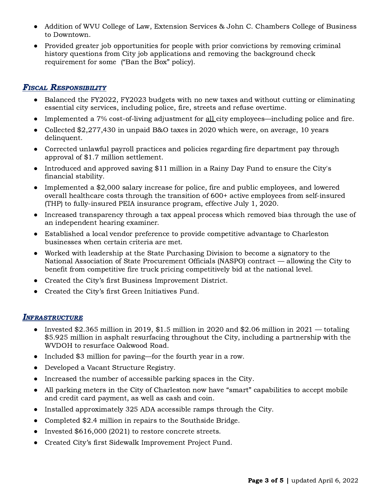- Addition of WVU College of Law, Extension Services & John C. Chambers College of Business to Downtown.
- Provided greater job opportunities for people with prior convictions by removing criminal history questions from City job applications and removing the background check requirement for some ("Ban the Box" policy).

## FISCAL RESPONSIBILITY

- Balanced the FY2022, FY2023 budgets with no new taxes and without cutting or eliminating essential city services, including police, fire, streets and refuse overtime.
- Implemented a 7% cost-of-living adjustment for <u>all</u> city employees—including police and fire.
- Collected \$2,277,430 in unpaid B&O taxes in 2020 which were, on average, 10 years delinquent.
- Corrected unlawful payroll practices and policies regarding fire department pay through approval of \$1.7 million settlement.
- Introduced and approved saving \$11 million in a Rainy Day Fund to ensure the City's financial stability.
- Implemented a \$2,000 salary increase for police, fire and public employees, and lowered overall healthcare costs through the transition of 600+ active employees from self-insured (THP) to fully-insured PEIA insurance program, effective July 1, 2020.
- Increased transparency through a tax appeal process which removed bias through the use of an independent hearing examiner.
- Established a local vendor preference to provide competitive advantage to Charleston businesses when certain criteria are met.
- Worked with leadership at the State Purchasing Division to become a signatory to the National Association of State Procurement Officials (NASPO) contract — allowing the City to benefit from competitive fire truck pricing competitively bid at the national level.
- Created the City's first Business Improvement District.
- Created the City's first Green Initiatives Fund.

## INFRASTRUCTURE

- Invested \$2.365 million in 2019, \$1.5 million in 2020 and \$2.06 million in 2021 totaling \$5.925 million in asphalt resurfacing throughout the City, including a partnership with the WVDOH to resurface Oakwood Road.
- Included \$3 million for paving—for the fourth year in a row.
- Developed a Vacant Structure Registry.
- Increased the number of accessible parking spaces in the City.
- All parking meters in the City of Charleston now have "smart" capabilities to accept mobile and credit card payment, as well as cash and coin.
- Installed approximately 325 ADA accessible ramps through the City.
- Completed \$2.4 million in repairs to the Southside Bridge.
- Invested \$616,000 (2021) to restore concrete streets.
- Created City's first Sidewalk Improvement Project Fund.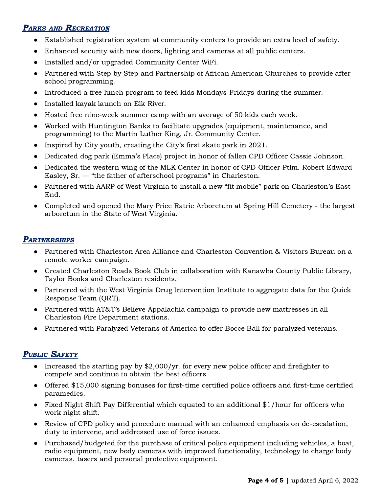# PARKS AND RECREATION

- Established registration system at community centers to provide an extra level of safety.
- Enhanced security with new doors, lighting and cameras at all public centers.
- Installed and/or upgraded Community Center WiFi.
- Partnered with Step by Step and Partnership of African American Churches to provide after school programming.
- Introduced a free lunch program to feed kids Mondays-Fridays during the summer.
- Installed kayak launch on Elk River.
- Hosted free nine-week summer camp with an average of 50 kids each week.
- Worked with Huntington Banks to facilitate upgrades (equipment, maintenance, and programming) to the Martin Luther King, Jr. Community Center.
- Inspired by City youth, creating the City's first skate park in 2021.
- Dedicated dog park (Emma's Place) project in honor of fallen CPD Officer Cassie Johnson.
- Dedicated the western wing of the MLK Center in honor of CPD Officer Ptlm. Robert Edward Easley, Sr. — "the father of afterschool programs" in Charleston.
- Partnered with AARP of West Virginia to install a new "fit mobile" park on Charleston's East End.
- Completed and opened the Mary Price Ratrie Arboretum at Spring Hill Cemetery the largest arboretum in the State of West Virginia.

#### **PARTNERSHIPS**

- Partnered with Charleston Area Alliance and Charleston Convention & Visitors Bureau on a remote worker campaign.
- Created Charleston Reads Book Club in collaboration with Kanawha County Public Library, Taylor Books and Charleston residents.
- Partnered with the West Virginia Drug Intervention Institute to aggregate data for the Quick Response Team (QRT).
- Partnered with AT&T's Believe Appalachia campaign to provide new mattresses in all Charleston Fire Department stations.
- Partnered with Paralyzed Veterans of America to offer Bocce Ball for paralyzed veterans.

## PUBLIC SAFETY

- Increased the starting pay by \$2,000/yr. for every new police officer and firefighter to compete and continue to obtain the best officers.
- Offered \$15,000 signing bonuses for first-time certified police officers and first-time certified paramedics.
- Fixed Night Shift Pay Differential which equated to an additional \$1/hour for officers who work night shift.
- Review of CPD policy and procedure manual with an enhanced emphasis on de-escalation, duty to intervene, and addressed use of force issues.
- Purchased/budgeted for the purchase of critical police equipment including vehicles, a boat, radio equipment, new body cameras with improved functionality, technology to charge body cameras. tasers and personal protective equipment.